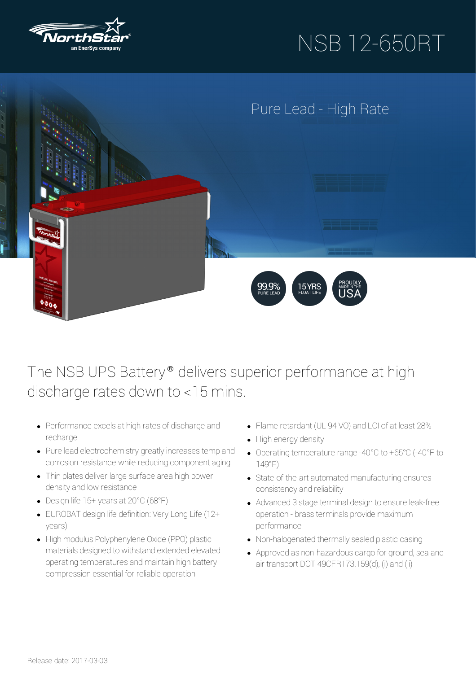

# NSB 12-650RT



### The NSB UPS Battery® delivers superior performance at high discharge rates down to <15 mins.

- Performance excels at high rates of discharge and recharge
- Pure lead electrochemistry greatly increases temp and corrosion resistance while reducing component aging
- Thin plates deliver large surface area high power density and low resistance
- Design life 15+ yearsat 20°C (68°F)
- EUROBAT design life definition: VeryLong Life (12+ years)
- High modulus Polyphenylene Oxide (PPO) plastic materials designed to withstand extended elevated operating temperatures and maintain high battery compression essential for reliable operation
- Flame retardant (UL 94 VO) and LOI of at least 28%
- High energy density
- Operating temperature range -40°C to +65°C (-40°F to 149°F)
- State-of-the-art automated manufacturing ensures consistencyand reliability
- Advanced 3 stage terminal design to ensure leak-free operation - brass terminals provide maximum performance
- Non-halogenated thermally sealed plastic casing
- Approved as non-hazardous cargo for ground, sea and air transport DOT 49CFR173.159(d), (i) and (ii)